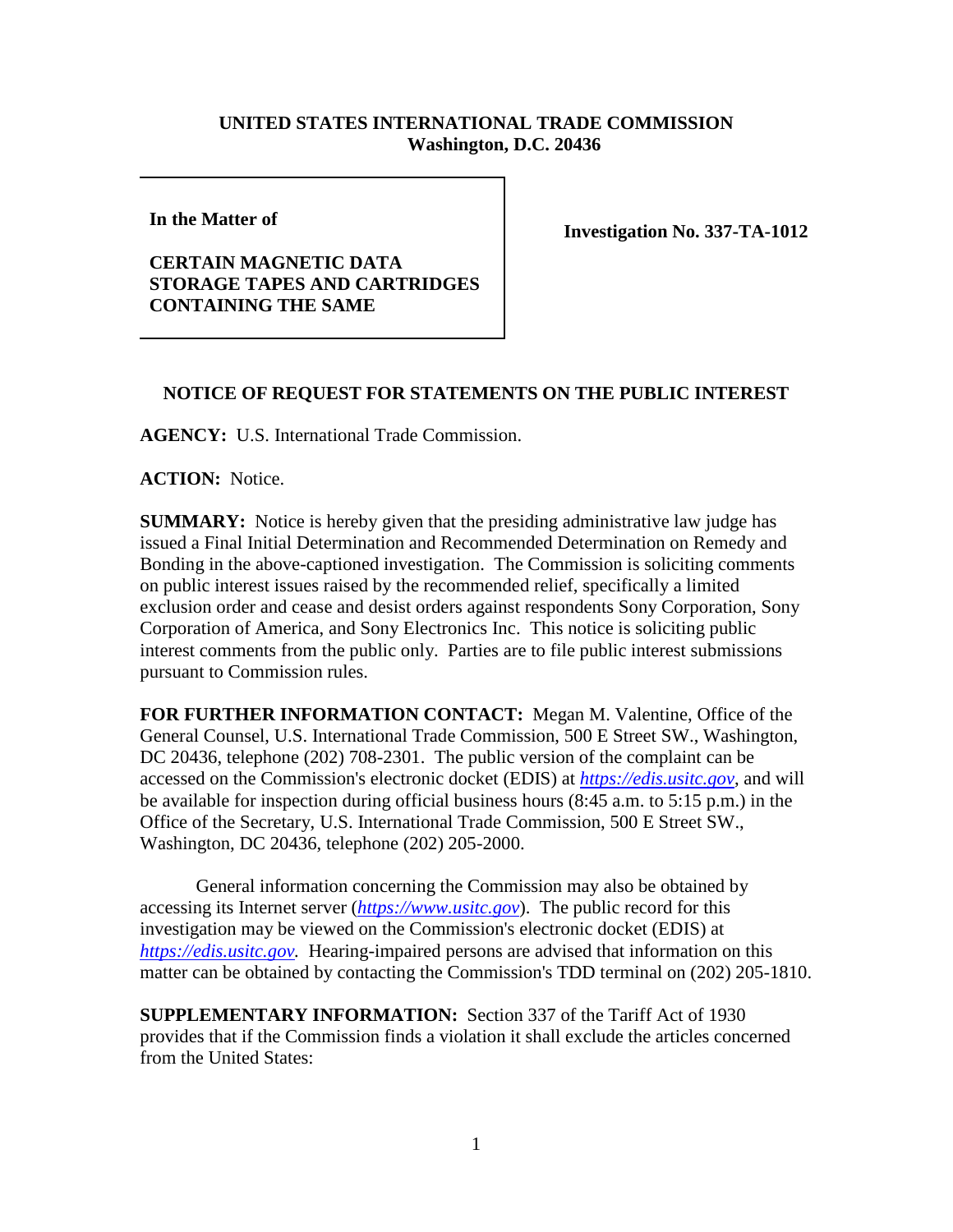## **UNITED STATES INTERNATIONAL TRADE COMMISSION Washington, D.C. 20436**

**In the Matter of** 

## **CERTAIN MAGNETIC DATA STORAGE TAPES AND CARTRIDGES CONTAINING THE SAME**

**Investigation No. 337-TA-1012**

## **NOTICE OF REQUEST FOR STATEMENTS ON THE PUBLIC INTEREST**

**AGENCY:** U.S. International Trade Commission.

**ACTION:** Notice.

**SUMMARY:** Notice is hereby given that the presiding administrative law judge has issued a Final Initial Determination and Recommended Determination on Remedy and Bonding in the above-captioned investigation. The Commission is soliciting comments on public interest issues raised by the recommended relief, specifically a limited exclusion order and cease and desist orders against respondents Sony Corporation, Sony Corporation of America, and Sony Electronics Inc. This notice is soliciting public interest comments from the public only. Parties are to file public interest submissions pursuant to Commission rules.

**FOR FURTHER INFORMATION CONTACT:** Megan M. Valentine, Office of the General Counsel, U.S. International Trade Commission, 500 E Street SW., Washington, DC 20436, telephone (202) 708-2301. The public version of the complaint can be accessed on the Commission's electronic docket (EDIS) at *[https://edis.usitc.gov](https://edis.usitc.gov/)*, and will be available for inspection during official business hours (8:45 a.m. to 5:15 p.m.) in the Office of the Secretary, U.S. International Trade Commission, 500 E Street SW., Washington, DC 20436, telephone (202) 205-2000.

General information concerning the Commission may also be obtained by accessing its Internet server (*[https://www.usitc.gov](https://www.usitc.gov/)*). The public record for this investigation may be viewed on the Commission's electronic docket (EDIS) at *[https://edis.usitc.gov.](https://edis.usitc.gov/)* Hearing-impaired persons are advised that information on this matter can be obtained by contacting the Commission's TDD terminal on (202) 205-1810.

**SUPPLEMENTARY INFORMATION:** Section 337 of the Tariff Act of 1930 provides that if the Commission finds a violation it shall exclude the articles concerned from the United States: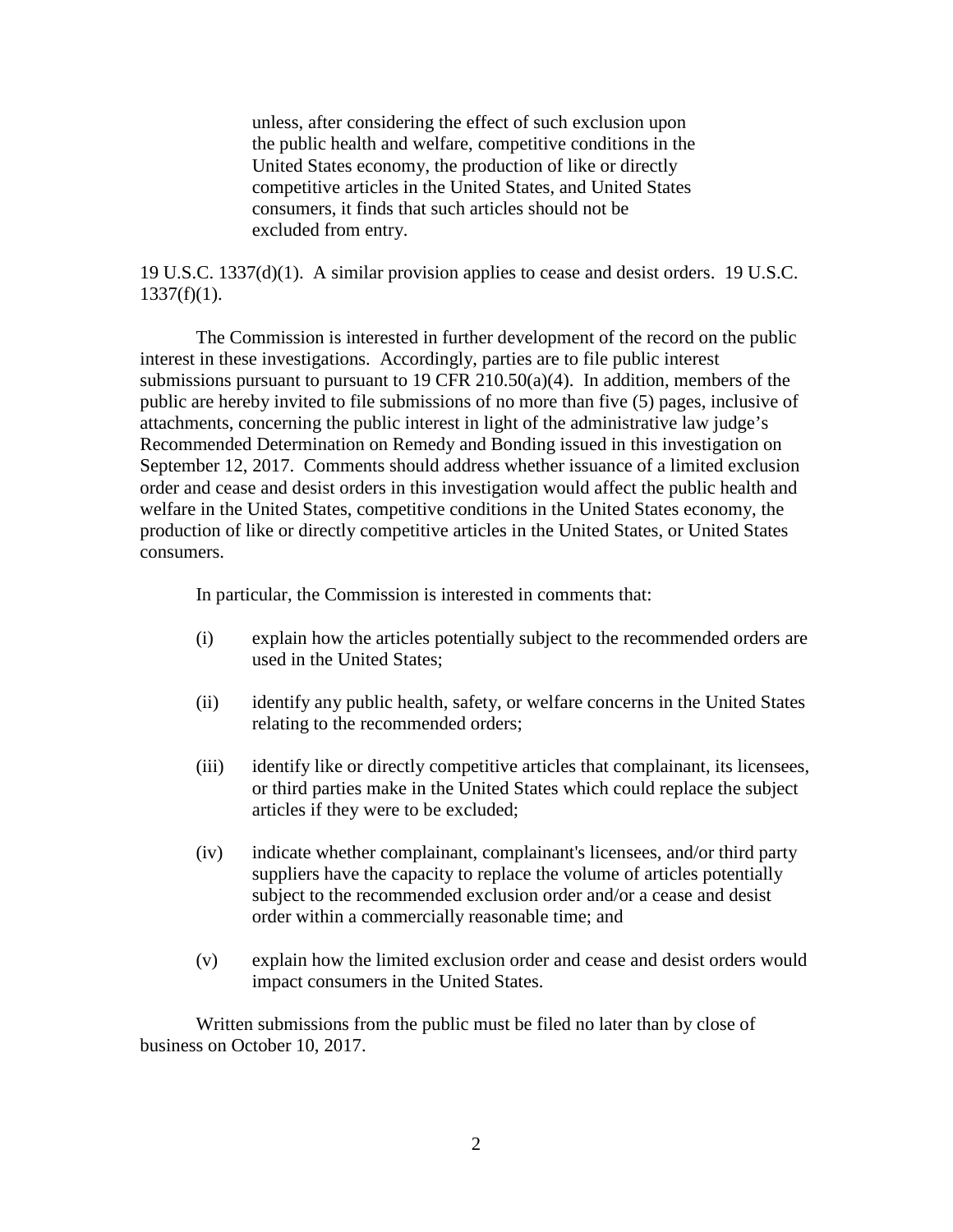unless, after considering the effect of such exclusion upon the public health and welfare, competitive conditions in the United States economy, the production of like or directly competitive articles in the United States, and United States consumers, it finds that such articles should not be excluded from entry.

19 U.S.C. 1337(d)(1). A similar provision applies to cease and desist orders. 19 U.S.C.  $1337(f)(1)$ .

The Commission is interested in further development of the record on the public interest in these investigations. Accordingly, parties are to file public interest submissions pursuant to pursuant to 19 CFR 210.50(a)(4). In addition, members of the public are hereby invited to file submissions of no more than five (5) pages, inclusive of attachments, concerning the public interest in light of the administrative law judge's Recommended Determination on Remedy and Bonding issued in this investigation on September 12, 2017. Comments should address whether issuance of a limited exclusion order and cease and desist orders in this investigation would affect the public health and welfare in the United States, competitive conditions in the United States economy, the production of like or directly competitive articles in the United States, or United States consumers.

In particular, the Commission is interested in comments that:

- (i) explain how the articles potentially subject to the recommended orders are used in the United States;
- (ii) identify any public health, safety, or welfare concerns in the United States relating to the recommended orders;
- (iii) identify like or directly competitive articles that complainant, its licensees, or third parties make in the United States which could replace the subject articles if they were to be excluded;
- (iv) indicate whether complainant, complainant's licensees, and/or third party suppliers have the capacity to replace the volume of articles potentially subject to the recommended exclusion order and/or a cease and desist order within a commercially reasonable time; and
- (v) explain how the limited exclusion order and cease and desist orders would impact consumers in the United States.

Written submissions from the public must be filed no later than by close of business on October 10, 2017.